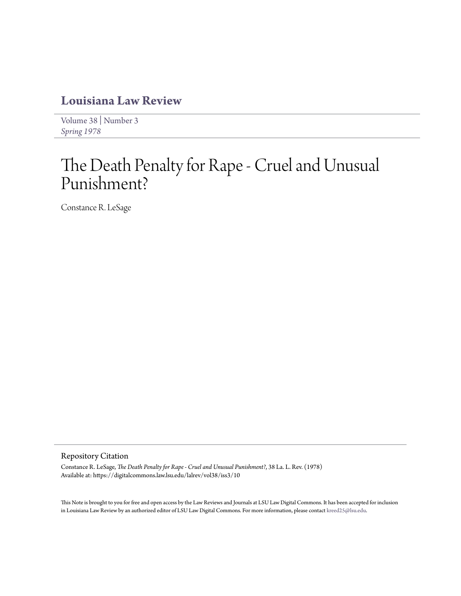## **[Louisiana Law Review](https://digitalcommons.law.lsu.edu/lalrev)**

[Volume 38](https://digitalcommons.law.lsu.edu/lalrev/vol38) | [Number 3](https://digitalcommons.law.lsu.edu/lalrev/vol38/iss3) *[Spring 1978](https://digitalcommons.law.lsu.edu/lalrev/vol38/iss3)*

# The Death Penalty for Rape - Cruel and Unusual Punishment?

Constance R. LeSage

#### Repository Citation

Constance R. LeSage, *The Death Penalty for Rape - Cruel and Unusual Punishment?*, 38 La. L. Rev. (1978) Available at: https://digitalcommons.law.lsu.edu/lalrev/vol38/iss3/10

This Note is brought to you for free and open access by the Law Reviews and Journals at LSU Law Digital Commons. It has been accepted for inclusion in Louisiana Law Review by an authorized editor of LSU Law Digital Commons. For more information, please contact [kreed25@lsu.edu](mailto:kreed25@lsu.edu).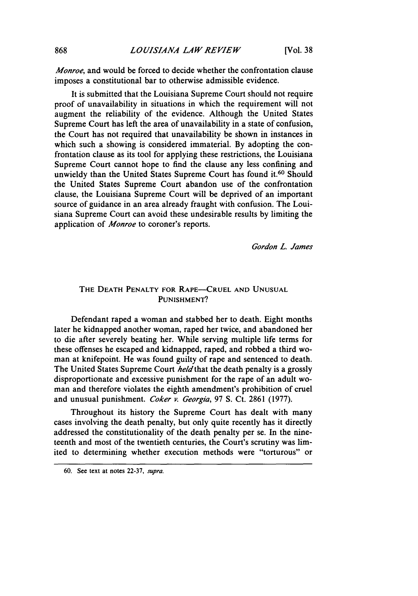*Monroe,* and would be forced to decide whether the confrontation clause imposes a constitutional bar to otherwise admissible evidence.

It is submitted that the Louisiana Supreme Court should not require proof of unavailability in situations in which the requirement will not augment the reliability of the evidence. Although the United States Supreme Court has left the area of unavailability in a state of confusion, the Court has not required that unavailability be shown in instances in which such a showing is considered immaterial. By adopting the confrontation clause as its tool for applying these restrictions, the Louisiana Supreme Court cannot hope to find the clause any less confining and unwieldy than the United States Supreme Court has found it.<sup>60</sup> Should the United States Supreme Court abandon use of the confrontation clause, the Louisiana Supreme Court will be deprived of an important source of guidance in an area already fraught with confusion. The Louisiana Supreme Court can avoid these undesirable results by limiting the application of *Monroe* to coroner's reports.

*Gordon L. James*

### THE **DEATH** PENALTY FOR RAPE-CRUEL **AND UNUSUAL PUNISHMENT?**

Defendant raped a woman and stabbed her to death. Eight months later he kidnapped another woman, raped her twice, and abandoned her to die after severely beating her. While serving multiple life terms for these offenses he escaped and kidnapped, raped, and robbed a third woman at knifepoint. He was found guilty of rape and sentenced to death. The United States Supreme Court *held* that the death penalty is a grossly disproportionate and excessive punishment for the rape of an adult woman and therefore violates the eighth amendment's prohibition of cruel and unusual punishment. *Coker v. Georgia,* 97 **S.** Ct. 2861 (1977).

Throughout its history the Supreme Court has dealt with many cases involving the death penalty, but only quite recently has it directly addressed the constitutionality of the death penalty per se. In the nineteenth and most of the twentieth centuries, the Court's scrutiny was limited to determining whether execution methods were "torturous" or

<sup>60.</sup> See text at notes 22-37, supra.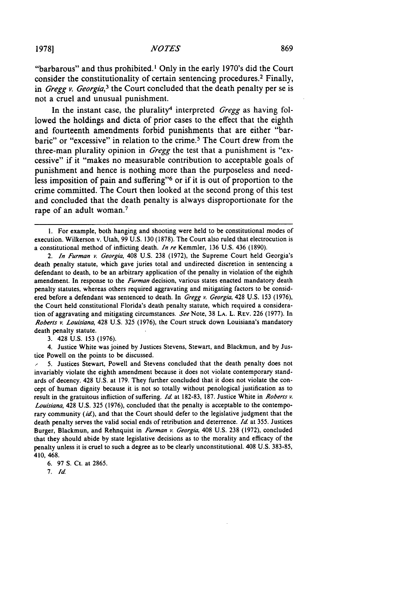"barbarous" and thus prohibited.<sup>1</sup> Only in the early 1970's did the Court consider the constitutionality of certain sentencing procedures.<sup>2</sup> Finally, in *Gregg v. Georgia*,<sup>3</sup> the Court concluded that the death penalty per se is not a cruel and unusual punishment.

In the instant case, the plurality<sup>4</sup> interpreted *Gregg* as having followed the holdings and dicta of prior cases to the effect that the eighth and fourteenth amendments forbid punishments that are either "barbaric" or "excessive" in relation to the crime. 5 The Court drew from the three-man plurality opinion in Gregg the test that a punishment is "excessive" if it "makes no measurable contribution to acceptable goals of punishment and hence is nothing more than the purposeless and needless imposition of pain and suffering"6 or if it is out of proportion to the crime committed. The Court then looked at the second prong of this test and concluded that the death penalty is always disproportionate for the rape of an adult woman.<sup>7</sup>

3. 428 U.S. 153 (1976).

4. Justice White was joined by Justices Stevens, Stewart, and Blackmun, and by Justice Powell on the points to be discussed.

6. 97 **S.** Ct. at 2865.

7. **Id.**

I. For example, both hanging and shooting were held to be constitutional modes of execution. Wilkerson v. Utah, 99 U.S. 130 (1878). The Court also ruled that electrocution is a constitutional method of inflicting death. In re Kemmler, 136 U.S. 436 (1890).

*<sup>2.</sup>* In Furman *P.* Georgia, 408 U.S. 238 (1972), the Supreme Court held Georgia's death penalty statute, which gave juries total and undirected discretion in sentencing a defendant to death, to be an arbitrary application of the penalty in violation of the eighth amendment. In response to the Furman decision, various states enacted mandatory death penalty statutes, whereas others required aggravating and mitigating factors to be considered before a defendant was sentenced to death. In Gregg v. Georgia, 428 U.S. 153 (1976), the Court held constitutional Florida's death penalty statute, which required a consideration of aggravating and mitigating circumstances. *See* Note, 38 **LA.** L. REV. 226 (1977). In Roberts *v.* Louisiana, 428 U.S. 325 (1976), the Court struck down Louisiana's mandatory death penalty statute.

<sup>5.</sup> Justices Stewart, Powell and Stevens concluded that the death penalty does not invariably violate the eighth amendment because it does not violate contemporary standards of decency. 428 U.S. at 179. They further concluded that it does not violate the concept of human dignity because it is not so totally without penological justification as to result in the gratuitous infliction of suffering. Id at 182-83, 187. Justice White in Roberts *v. Louisiana,* 428 U.S. 325 (1976), concluded that the penalty is acceptable to the contemporary community  $(id)$ , and that the Court should defer to the legislative judgment that the death penalty serves the valid social ends of retribution and deterrence. Id. at 355. Justices Burger, Blackmun, and Rehnquist in Furman v. Georgia, 408 U.S. 238 (1972), concluded that they should abide by state legislative decisions as to the morality and efficacy of the penalty unless it is cruel to such a degree as to be clearly unconstitutional. 408 U.S. 383-85, 410, 468.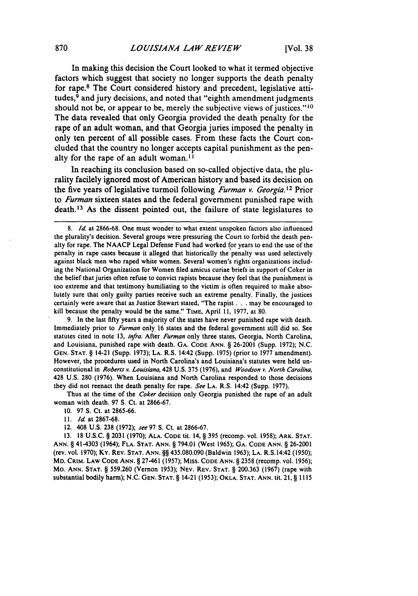In making this decision the Court looked to what it termed objective factors which suggest that society no longer supports the death penalty for rape.8 The Court considered history and precedent, legislative attitudes, $9$  and jury decisions, and noted that "eighth amendment judgments" should not be, or appear to be, merely the subjective views of justices." **1 0** The data revealed that only Georgia provided the death penalty for the rape of an adult woman, and that Georgia juries imposed the penalty in only ten percent of all possible cases. From these facts the Court concluded that the country no longer accepts capital punishment as the penalty for the rape of an adult woman.<sup>11</sup>

In reaching its conclusion based on so-called objective data, the plurality facilely ignored most of American history and based its decision on the five years of legislative turmoil following *Furman v. Georgia.* **1 <sup>2</sup>**Prior to *Furman* sixteen states and the federal government punished rape with death. 13 As the dissent pointed out, the failure of state legislatures to

9. In the last fifty years a majority of the states have never punished rape with death. Immediately prior to Furman only **16** states and the federal government still did so. See statutes cited in note **13,** infra. After Furman only three states, Georgia, North Carolina, and Louisiana, punished rape with death. GA. **CODE** ANN. § **26-2001** (Supp. 1972); N.C. **GEN. STAT.** § 14-21 (Supp. **1973); LA.** R.S. 14:42 (Supp. **1975)** (prior to 1977 amendment). However, the procedures used in North Carolina's and Louisiana's statutes were held unconstitutional in *Roberts v. Louisiana,* 428 **U.S. 375 (1976),** and *Woodson v. North Carolina,* 428 **U.S. 280 (1976).** When Louisiana and North Carolina responded to those decisions they did not reenact the death penalty for rape. *See* **LA.** R.S. 14:42 (Supp. **1977).**

Thus at the time of the *Coker* decision only Georgia punished the rape of an adult woman with death. **97 S.** Ct. at **2866-67.**

**10. 97 S.** Ct. at **2865-66.**

12. 408 **U.S. 238 (1972);** see **97 S.** Ct. at **2866-67.**

**13. 18-U.S.C.** § **2031 (1970); ALA. CODE tit. 14,** § **395** (recomp. vol. **1958); ARK. STAT. ANN.** § 41-4303 (1964); **FLA. STAT. ANN.** § 794.01 (West **1965); GA. CODE ANN.** § **26-2001** (rev. vol. **1970); Ky. REv. STAT. ANN.** §§ **435.080.090** (Baldwin **1963); LA.** R.S. 14:42 **(1950); MD. CRIM. LAW CODE ANN.** § 27-461 **(1957); Miss. CODE ANN.** § **2358** (recomp. vol. **1956);** Mo. **ANN. STAT.** § **559.260 (Vernon 1953); NEv. REV. STAT.** § **200.363 (1961) (rape** with substantial bodily harm); N.C. **GEN. STAT.** § 14-21 **(1953); OKLA. STAT. ANN. tit. 21,** § **1115**

<sup>8.</sup> **Id** at 2866-68. One must wonder to what extent unspoken factors also influenced the plurality's decision. Several groups were pressuring the Court to forbid the death penalty for rape. The NAACP Legal Defense Fund had worked for years to end the use of the penalty in rape cases because it alleged that historically the penalty was used selectively against black men who raped white women. Several women's rights organizations including the National Organization for Women filed amicus curiae briefs in support of Coker in the belief that juries often refuse to convict rapists because they feel that the punishment is too extreme and that testimony humiliating to the victim is often required to make absolutely sure that only guilty parties receive such an extreme penalty. Finally, the justices certainly were aware that as Justice Stewart stated, "The rapist... may be encouraged to kill because the penalty would be the same." **TIME,** April **11, 1977,** at 80.

**<sup>11.</sup>** *Id* at **2867-68.**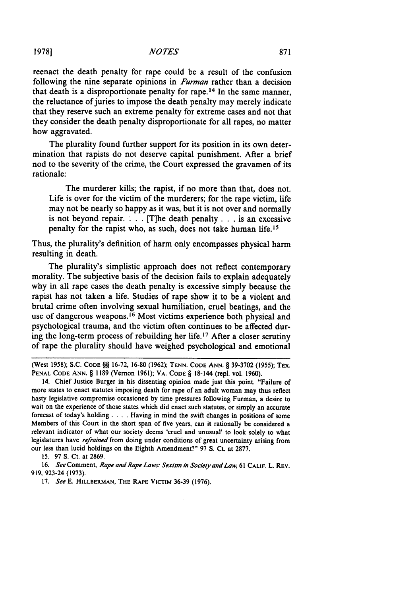reenact the death penalty for rape could be a result of the confusion following the nine separate opinions in *Furman* rather than a decision that death is a disproportionate penalty for rape.<sup>14</sup> In the same manner, the reluctance of juries to impose the death penalty may merely indicate that they reserve such an extreme penalty for extreme cases and not that they consider the death penalty disproportionate for all rapes, no matter how aggravated.

The plurality found further support for its position in its own determination that rapists do not deserve capital punishment. After a brief nod to the severity of the crime, the Court expressed the gravamen of its rationale:

The murderer kills; the rapist, if no more than that, does not. Life is over for the victim of the murderers; for the rape victim, life may not be nearly so happy as it was, but it is not over and normally is not beyond repair. **. .** . [T]he death penalty **. . .** is an excessive penalty for the rapist who, as such, does not take human life.<sup>15</sup>

Thus, the plurality's definition of harm only encompasses physical harm resulting in death.

The plurality's simplistic approach does not reflect contemporary morality. The subjective basis of the decision fails to explain adequately why in all rape cases the death penalty is excessive simply because the rapist has not taken a life. Studies of rape show it to be a violent and brutal crime often involving sexual humiliation, cruel beatings, and the use of dangerous weapons.16 Most victims experience both physical and psychological trauma, and the victim often continues to be affected during the long-term process of rebuilding her life. 17 After a closer scrutiny of rape the plurality should have weighed psychological and emotional

(West 1958); **S.C. CODE** §§ **16-72, 16-80 (1962); TENN. CODE ANN.** § **39-3702** (1955); Tx. **PENAL CODE ANN.** § **1189** (Vernon 1961); VA. CODE § 18-144 (repl. vol. 1960).

14. Chief Justice Burger in his dissenting opinion made just this point. "Failure of more states to enact statutes imposing death for rape of an adult woman may thus reflect hasty legislative compromise occasioned by time pressures following Furman, a desire to wait on the experience of those states which did enact such statutes, or simply an accurate forecast of today's holding . **. .** . Having in mind the swift changes in positions of some Members of this Court in the short span of five years, can **it** rationally be considered a relevant indicator of what our society deems 'cruel and unusual' to look solely to what legislatures have *refrained* from doing under conditions of great uncertainty arising from our less than lucid holdings on the Eighth Amendment?" **97** S. Ct. at **2877.**

**15. 97** S. Ct. at 2869.

16. See Comment, Rape and Rape Laws: Sexism in Society and Law, 61 CALIF. L. REV. 919, 923-24 (1973).

17. See E. HILLBERMAN, THE RAPE VICTIM 36-39 (1976).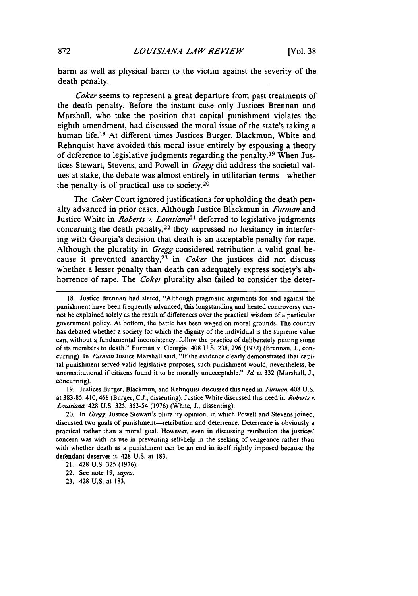harm as well as physical harm to the victim against the severity of the death penalty.

Coker seems to represent a great departure from past treatments of the death penalty. Before the instant case only Justices Brennan and Marshall, who take the position that capital punishment violates the eighth amendment, had discussed the moral issue of the state's taking a human life.<sup>18</sup> At different times Justices Burger, Blackmun, White and Rehnquist have avoided this moral issue entirely by espousing a theory of deference to legislative judgments regarding the penalty.<sup>19</sup> When Justices Stewart, Stevens, and Powell in Gregg did address the societal values at stake, the debate was almost entirely in utilitarian terms-whether the penalty is of practical use to society.<sup>20</sup>

The *Coker* Court ignored justifications for upholding the death penalty advanced in prior cases. Although Justice Blackmun in Furman and Justice White in *Roberts v. Louisiana*<sup>21</sup> deferred to legislative judgments concerning the death penalty,<sup>22</sup> they expressed no hesitancy in interfering with Georgia's decision that death is an acceptable penalty for rape. Although the plurality in Gregg considered retribution a valid goal because it prevented anarchy,  $23$  in Coker the justices did not discuss whether a lesser penalty than death can adequately express society's abhorrence of rape. The *Coker* plurality also failed to consider the deter-

**19.** Justices Burger, Blackmun, and Rehnquist discussed this need in *Furman.* 408 **U.S.** at **383-85,** 410, 468 (Burger, **C.J.,** dissenting). Justice White discussed this need in *Roberts v. Louisiana,* 428 **U.S. 325, 353-54 (1976)** (White, **J.,** dissenting).

20. In *Gregg,* Justice Stewart's plurality opinion, in which Powell and Stevens joined, discussed two goals of punishment-retribution and deterrence. Deterrence is obviously a practical rather than a moral goal. However, even in discussing retribution the justices' concern was with its use in preventing self-help in the seeking of vengeance rather than with whether death as a punishment can be an end in itself rightly imposed because the defendant deserves it. 428 **U.S.** at **183.**

**<sup>18.</sup>** Justice Brennan had stated, "Although pragmatic arguments for and against the punishment have been frequently advanced, this longstanding and heated controversy cannot be explained solely as the result of differences over the practical wisdom of a particular government policy. At bottom, the battle has been waged on moral grounds. The country has debated whether a society for which the dignity of the individual is the supreme value can, without a fundamental inconsistency, follow the practice of deliberately putting some of its members to death." Furman v. Georgia, 408 **U.S. 238, 296 (1972)** (Brennan, **J.,** concurring). In *Furman* Justice Marshall said, "If the evidence clearly demonstrated that capital punishment served valid legislative purposes, such punishment would, nevertheless, be unconstitutional if citizens found it to be morally unacceptable." *Id* at **332** (Marshall, **J.,** concurring).

<sup>21. 428</sup> **U.S. 325 (1976).**

<sup>22.</sup> See note **19,** *supra.*

**<sup>23.</sup>** 428 **U.S.** at **183.**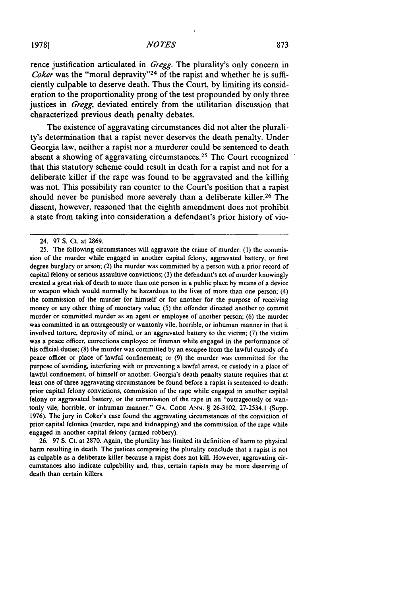rence justification articulated in Gregg. The plurality's only concern in Coker was the "moral depravity"<sup>24</sup> of the rapist and whether he is sufficiently culpable to deserve death. Thus the Court, by limiting its consideration to the proportionality prong of the test propounded by only three justices in Gregg, deviated entirely from the utilitarian discussion that characterized previous death penalty debates.

The existence of aggravating circumstances did not alter the plurality's determination that a rapist never deserves the death penalty. Under Georgia law, neither a rapist nor a murderer could be sentenced to death absent a showing of aggravating circumstances.<sup>25</sup> The Court recognized that this statutory scheme could result in death for a rapist and not for a deliberate killer if the rape was found to be aggravated and the killing was not. This possibility ran counter to the Court's position that a rapist should never be punished more severely than a deliberate killer.<sup>26</sup> The dissent, however, reasoned that the eighth amendment does not prohibit a state from taking into consideration a defendant's prior history of vio-

26. **97** S. Ct. at 2870. Again, the plurality has limited its definition of harm to physical harm resulting in death. The justices comprising the plurality conclude that a rapist is not as culpable as a deliberate killer because a rapist does not kill. However, aggravating circumstances also indicate culpability and, thus, certain rapists may be more deserving of death than certain killers.

<sup>24. 97</sup> S. Ct. at 2869.

<sup>25.</sup> The following circumstances will aggravate the crime of murder: (1) the commission of the murder while engaged in another capital felony, aggravated battery, or first degree burglary or arson; (2) the murder was committed by a person with a prior record of capital felony or serious assaultive convictions; (3) the defendant's act of murder knowingly created a great risk of death to more than one person in a public place by means of a device or weapon which would normally be hazardous to the lives of more than one person; (4) the commission of the murder for himself or for another for the purpose of receiving money or any other thing of monetary value; (5) the offender directed another to commit murder or committed murder as an agent or employee of another person; (6) the murder was committed in an outrageously or wantonly vile, horrible, or inhuman manner in that it involved torture, depravity of mind, or an aggravated battery to the victim; (7) the victim was a peace officer, corrections employee or fireman while engaged in the performance of his official duties; (8) the murder was committed **by** an escapee from the lawful custody of a peace officer or place of lawful confinement; or (9) the murder was committed for the purpose of avoiding, interfering with or preventing a lawful arrest, or custody in a place of lawful confinement, of himself or another. Georgia's death penalty statute requires that at least one of three aggravating circumstances be found before a rapist is sentenced to death: prior capital felony convictions, commission of the rape while engaged in another capital felony or aggravated battery, or the commission of the rape in an "outrageously or wantonly vile, horrible, or inhuman manner." GA. **CODE ANN.** § **26-3102, 27-2534.1** (Supp. 1976). The jury in Coker's case found the aggravating circumstances of the conviction of prior capital felonies (murder, rape and kidnapping) and the commission of the rape while engaged in another capital felony (armed robbery).